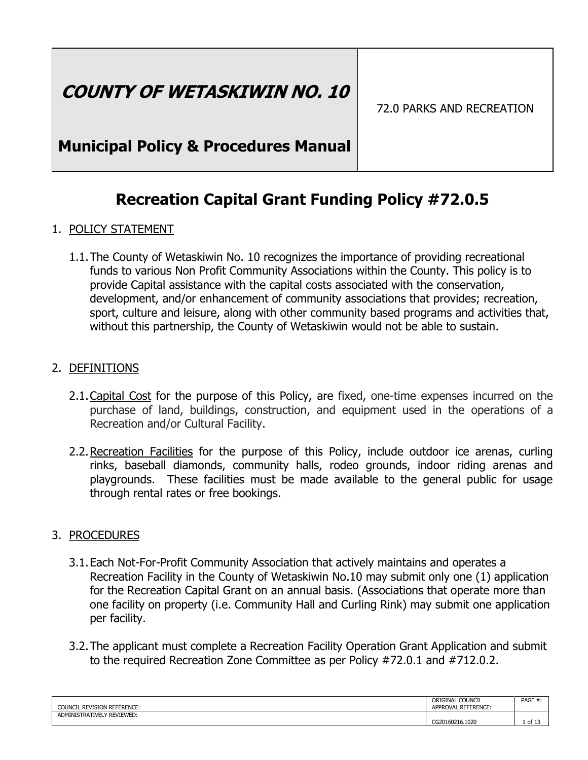## **COUNTY OF WETASKIWIN NO. 10**

### **Municipal Policy & Procedures Manual**

## **Recreation Capital Grant Funding Policy #72.0.5**

- 1. POLICY STATEMENT
	- 1.1.The County of Wetaskiwin No. 10 recognizes the importance of providing recreational funds to various Non Profit Community Associations within the County. This policy is to provide Capital assistance with the capital costs associated with the conservation, development, and/or enhancement of community associations that provides; recreation, sport, culture and leisure, along with other community based programs and activities that, without this partnership, the County of Wetaskiwin would not be able to sustain.

#### 2. DEFINITIONS

- 2.1. Capital Cost for the purpose of this Policy, are fixed, one-time expenses incurred on the purchase of land, buildings, construction, and equipment used in the operations of a Recreation and/or Cultural Facility.
- 2.2. Recreation Facilities for the purpose of this Policy, include outdoor ice arenas, curling rinks, baseball diamonds, community halls, rodeo grounds, indoor riding arenas and playgrounds. These facilities must be made available to the general public for usage through rental rates or free bookings.

#### 3. PROCEDURES

- 3.1.Each Not-For-Profit Community Association that actively maintains and operates a Recreation Facility in the County of Wetaskiwin No.10 may submit only one (1) application for the Recreation Capital Grant on an annual basis. (Associations that operate more than one facility on property (i.e. Community Hall and Curling Rink) may submit one application per facility.
- 3.2.The applicant must complete a Recreation Facility Operation Grant Application and submit to the required Recreation Zone Committee as per Policy #72.0.1 and #712.0.2.

| <b>COUNCI</b><br><b>REVISION REFERENCE:</b> | <b>COUNCIL</b><br>ORIGINAL<br>APPROVAL REFERENCE: | PAGE #<br>-44       |
|---------------------------------------------|---------------------------------------------------|---------------------|
| ADMINISTRATIVELY REVIEWED:                  | CG20160216.1020                                   | $\sim$ $\sim$<br>0f |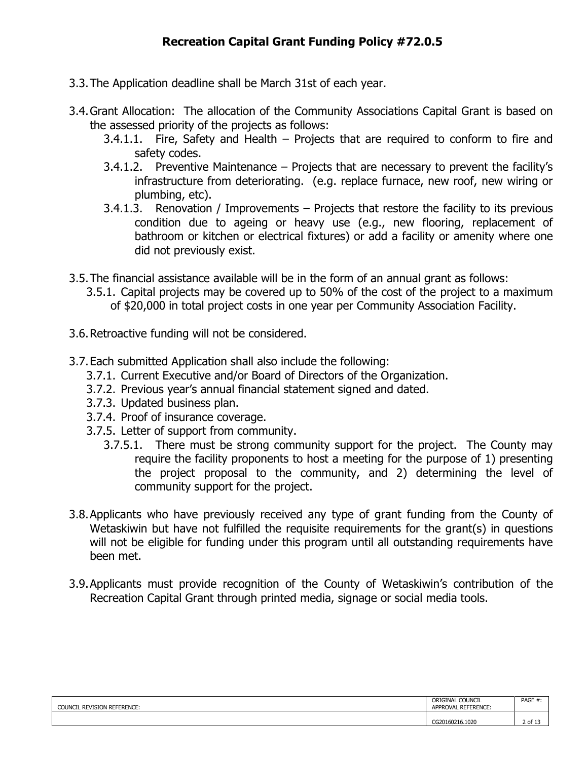- 3.3.The Application deadline shall be March 31st of each year.
- 3.4.Grant Allocation: The allocation of the Community Associations Capital Grant is based on the assessed priority of the projects as follows:
	- 3.4.1.1. Fire, Safety and Health Projects that are required to conform to fire and safety codes.
	- 3.4.1.2. Preventive Maintenance Projects that are necessary to prevent the facility's infrastructure from deteriorating. (e.g. replace furnace, new roof, new wiring or plumbing, etc).
	- 3.4.1.3. Renovation / Improvements Projects that restore the facility to its previous condition due to ageing or heavy use (e.g., new flooring, replacement of bathroom or kitchen or electrical fixtures) or add a facility or amenity where one did not previously exist.
- 3.5.The financial assistance available will be in the form of an annual grant as follows:
	- 3.5.1. Capital projects may be covered up to 50% of the cost of the project to a maximum of \$20,000 in total project costs in one year per Community Association Facility.
- 3.6.Retroactive funding will not be considered.
- 3.7.Each submitted Application shall also include the following:
	- 3.7.1. Current Executive and/or Board of Directors of the Organization.
	- 3.7.2. Previous year's annual financial statement signed and dated.
	- 3.7.3. Updated business plan.
	- 3.7.4. Proof of insurance coverage.
	- 3.7.5. Letter of support from community.
		- 3.7.5.1. There must be strong community support for the project. The County may require the facility proponents to host a meeting for the purpose of 1) presenting the project proposal to the community, and 2) determining the level of community support for the project.
- 3.8.Applicants who have previously received any type of grant funding from the County of Wetaskiwin but have not fulfilled the requisite requirements for the grant(s) in questions will not be eligible for funding under this program until all outstanding requirements have been met.
- 3.9.Applicants must provide recognition of the County of Wetaskiwin's contribution of the Recreation Capital Grant through printed media, signage or social media tools.

| <b>COUNC</b><br><b>REVISION REFERENCE:</b> | ORIGINAL COUNCIL<br>APPROVAL REFERENCE: | PAGE #     |
|--------------------------------------------|-----------------------------------------|------------|
|                                            | CG20160216.1020                         | $2$ of $1$ |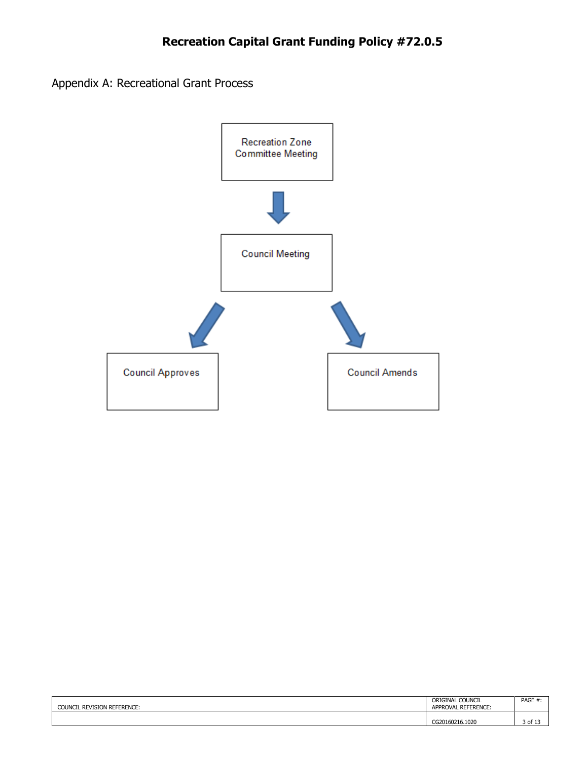Appendix A: Recreational Grant Process



|                                       | ORIGINAL COUNCIL    | PAGE #: |
|---------------------------------------|---------------------|---------|
| L REVISION REFERENCE:<br><b>COUNC</b> | APPROVAL REFERENCE: |         |
|                                       |                     |         |
|                                       | CG20160216.1020     | 3 of 13 |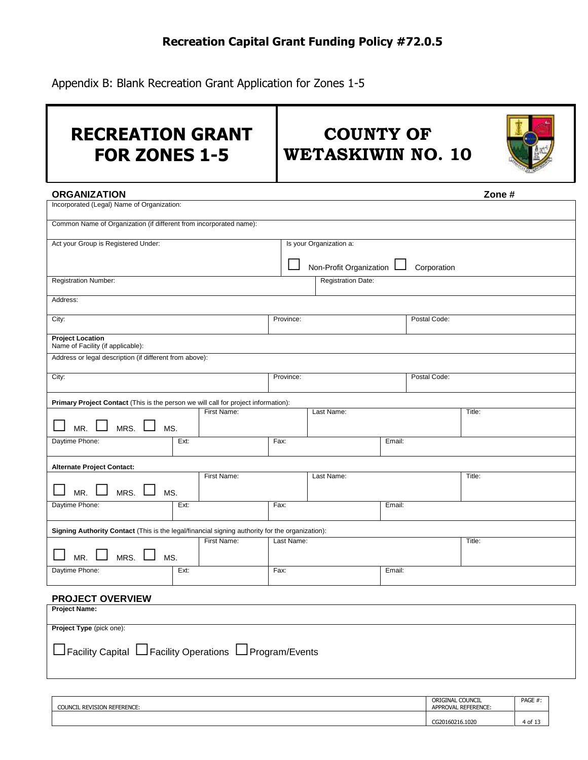Appendix B: Blank Recreation Grant Application for Zones 1-5

# **RECREATION GRANT FOR ZONES 1-5**

**COUNTY OF WETASKIWIN NO. 10**



#### **ORGANIZATION Zone #**

| Common Name of Organization (if different from incorporated name):                              |      |             |      |            |                           |        |                   |           |
|-------------------------------------------------------------------------------------------------|------|-------------|------|------------|---------------------------|--------|-------------------|-----------|
|                                                                                                 |      |             |      |            |                           |        |                   |           |
|                                                                                                 |      |             |      |            |                           |        |                   |           |
| Act your Group is Registered Under:                                                             |      |             |      |            | Is your Organization a:   |        |                   |           |
|                                                                                                 |      |             |      |            | Non-Profit Organization   |        | Corporation       |           |
| <b>Registration Number:</b>                                                                     |      |             |      |            | <b>Registration Date:</b> |        |                   |           |
| Address:                                                                                        |      |             |      |            |                           |        |                   |           |
| City:                                                                                           |      |             |      | Province:  |                           |        | Postal Code:      |           |
| <b>Project Location</b><br>Name of Facility (if applicable):                                    |      |             |      |            |                           |        |                   |           |
| Address or legal description (if different from above):                                         |      |             |      |            |                           |        |                   |           |
| City:                                                                                           |      |             |      | Province:  |                           |        | Postal Code:      |           |
| Primary Project Contact (This is the person we will call for project information):              |      |             |      |            |                           |        |                   |           |
|                                                                                                 |      | First Name: |      |            | Last Name:                |        |                   | Title:    |
| MRS. $\Box$<br>MR.<br>MS.                                                                       |      |             |      |            |                           |        |                   |           |
| Daytime Phone:                                                                                  | Ext: |             | Fax: |            |                           | Email: |                   |           |
| <b>Alternate Project Contact:</b>                                                               |      |             |      |            |                           |        |                   |           |
| MRS.<br>MR.<br>MS.                                                                              |      | First Name: |      |            | Last Name:                |        |                   | Title:    |
| Daytime Phone:                                                                                  | Ext: |             | Fax: |            |                           | Email: |                   |           |
| Signing Authority Contact (This is the legal/financial signing authority for the organization): |      |             |      |            |                           |        |                   |           |
| MRS.<br>MR.<br>MS.                                                                              |      | First Name: |      | Last Name: |                           |        |                   | Title:    |
| Daytime Phone:                                                                                  | Ext: |             | Fax: |            |                           | Email: |                   |           |
| <b>PROJECT OVERVIEW</b>                                                                         |      |             |      |            |                           |        |                   |           |
| <b>Project Name:</b>                                                                            |      |             |      |            |                           |        |                   |           |
| Project Type (pick one):                                                                        |      |             |      |            |                           |        |                   |           |
| □ Facility Capital □ Facility Operations □ Program/Events                                       |      |             |      |            |                           |        |                   |           |
|                                                                                                 |      |             |      |            |                           |        | ORIGINAL COLINCIL | $PAGF \#$ |

| <b>. REVISION REFERENCE:</b><br><b>COUNCIL</b> | COUNCIL<br>ORIGINAL<br>APPROVAL REFERENCE: | PAGE #: |
|------------------------------------------------|--------------------------------------------|---------|
|                                                | CG20160216.1020                            | 4 of 13 |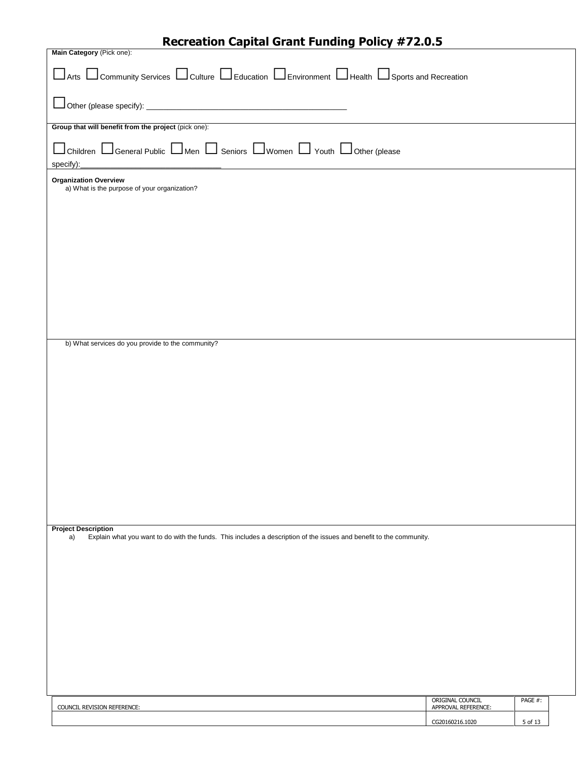| <b>Recreation Capital Grant Funding Policy #72.0.5</b> |  |  |  |  |  |
|--------------------------------------------------------|--|--|--|--|--|
|--------------------------------------------------------|--|--|--|--|--|

| Main Category (Pick one):                                                                                                                                                                                        |                                         |         |  |
|------------------------------------------------------------------------------------------------------------------------------------------------------------------------------------------------------------------|-----------------------------------------|---------|--|
| □ Arts □ Community Services □ Culture □ Education □ Environment □ Health □ Sports and Recreation                                                                                                                 |                                         |         |  |
|                                                                                                                                                                                                                  |                                         |         |  |
| Group that will benefit from the project (pick one):                                                                                                                                                             |                                         |         |  |
| □ Children □ General Public □ Men □ Seniors □ Women □ Youth □ Other (please<br>specify):<br><u> 1989 - Andrea Barbara, amerikan personal di sebagai personal di sebagai personal di sebagai personal di seba</u> |                                         |         |  |
| <b>Organization Overview</b>                                                                                                                                                                                     |                                         |         |  |
| a) What is the purpose of your organization?                                                                                                                                                                     |                                         |         |  |
|                                                                                                                                                                                                                  |                                         |         |  |
|                                                                                                                                                                                                                  |                                         |         |  |
|                                                                                                                                                                                                                  |                                         |         |  |
|                                                                                                                                                                                                                  |                                         |         |  |
|                                                                                                                                                                                                                  |                                         |         |  |
|                                                                                                                                                                                                                  |                                         |         |  |
|                                                                                                                                                                                                                  |                                         |         |  |
|                                                                                                                                                                                                                  |                                         |         |  |
|                                                                                                                                                                                                                  |                                         |         |  |
| b) What services do you provide to the community?                                                                                                                                                                |                                         |         |  |
|                                                                                                                                                                                                                  |                                         |         |  |
|                                                                                                                                                                                                                  |                                         |         |  |
|                                                                                                                                                                                                                  |                                         |         |  |
|                                                                                                                                                                                                                  |                                         |         |  |
|                                                                                                                                                                                                                  |                                         |         |  |
|                                                                                                                                                                                                                  |                                         |         |  |
|                                                                                                                                                                                                                  |                                         |         |  |
|                                                                                                                                                                                                                  |                                         |         |  |
|                                                                                                                                                                                                                  |                                         |         |  |
|                                                                                                                                                                                                                  |                                         |         |  |
|                                                                                                                                                                                                                  |                                         |         |  |
|                                                                                                                                                                                                                  |                                         |         |  |
| <b>Project Description</b><br>Explain what you want to do with the funds. This includes a description of the issues and benefit to the community.<br>a)                                                          |                                         |         |  |
|                                                                                                                                                                                                                  |                                         |         |  |
|                                                                                                                                                                                                                  |                                         |         |  |
|                                                                                                                                                                                                                  |                                         |         |  |
|                                                                                                                                                                                                                  |                                         |         |  |
|                                                                                                                                                                                                                  |                                         |         |  |
|                                                                                                                                                                                                                  |                                         |         |  |
|                                                                                                                                                                                                                  |                                         |         |  |
|                                                                                                                                                                                                                  |                                         |         |  |
|                                                                                                                                                                                                                  |                                         |         |  |
|                                                                                                                                                                                                                  |                                         |         |  |
| COUNCIL REVISION REFERENCE:                                                                                                                                                                                      | ORIGINAL COUNCIL<br>APPROVAL REFERENCE: | PAGE #: |  |

CG20160216.1020 5 of 13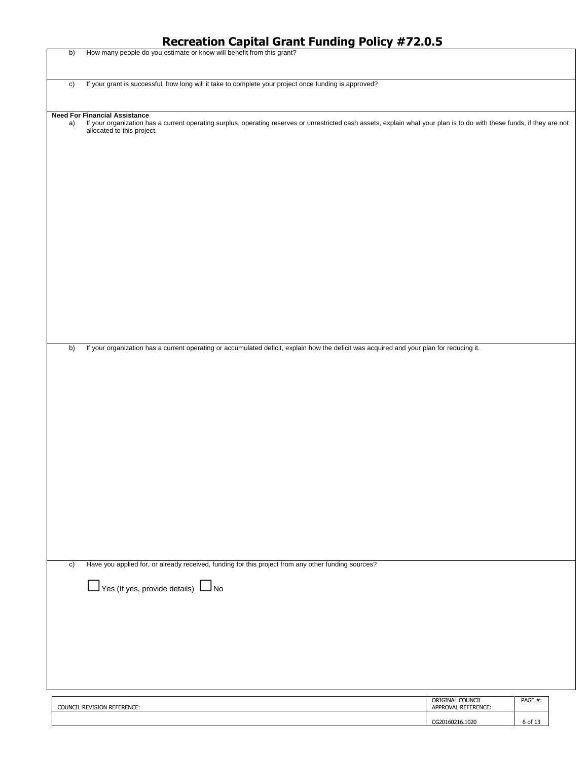| <b>Recreation Capital Grant Funding Policy #72.0.5</b> |  |  |  |  |  |  |
|--------------------------------------------------------|--|--|--|--|--|--|
|--------------------------------------------------------|--|--|--|--|--|--|

| b) | How many people do you estimate or know will benefit from this grant?                                                                                                                                                                      |                                                            |                    |  |
|----|--------------------------------------------------------------------------------------------------------------------------------------------------------------------------------------------------------------------------------------------|------------------------------------------------------------|--------------------|--|
| c) | If your grant is successful, how long will it take to complete your project once funding is approved?                                                                                                                                      |                                                            |                    |  |
| a) | <b>Need For Financial Assistance</b><br>If your organization has a current operating surplus, operating reserves or unrestricted cash assets, explain what your plan is to do with these funds, if they are not allocated to this project. |                                                            |                    |  |
|    |                                                                                                                                                                                                                                            |                                                            |                    |  |
| b) | If your organization has a current operating or accumulated deficit, explain how the deficit was acquired and your plan for reducing it.                                                                                                   |                                                            |                    |  |
| c) | Have you applied for, or already received, funding for this project from any other funding sources?<br>Yes (If yes, provide details) No                                                                                                    |                                                            |                    |  |
|    | COUNCIL REVISION REFERENCE:                                                                                                                                                                                                                | ORIGINAL COUNCIL<br>APPROVAL REFERENCE:<br>CG20160216.1020 | PAGE #:<br>6 of 13 |  |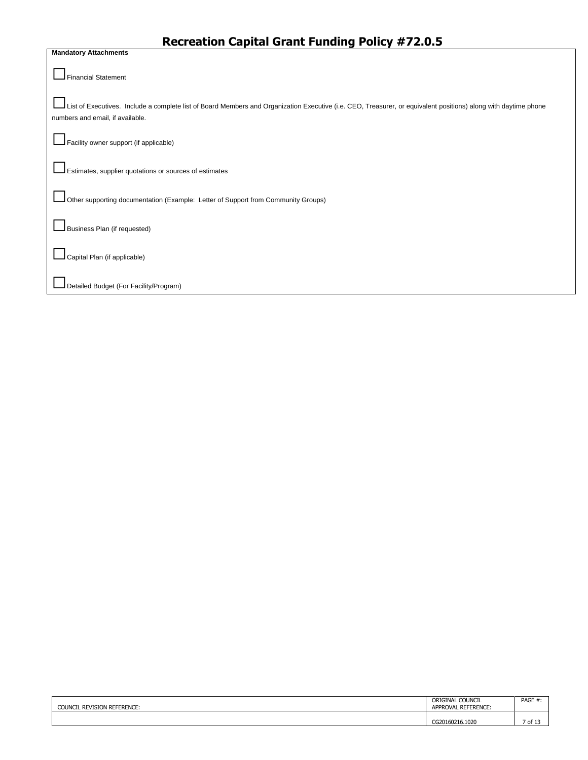Financial Statement

**Mandatory Attachments**

List of Executives. Include a complete list of Board Members and Organization Executive (i.e. CEO, Treasurer, or equivalent positions) along with daytime phone numbers and email, if available.

□Facility owner support (if applicable)

□Estimates, supplier quotations or sources of estimates

□Other supporting documentation (Example: Letter of Support from Community Groups)

□Business Plan (if requested)

Capital Plan (if applicable)

□Detailed Budget (For Facility/Program)

| <b>REVISION REFERENCE:</b><br><b>COUNCIL</b> | ORIGINAL COUNCIL<br>APPROVAL REFERENCE: | PAGE # |
|----------------------------------------------|-----------------------------------------|--------|
|                                              | 0216.1020<br>C201603                    | .ot    |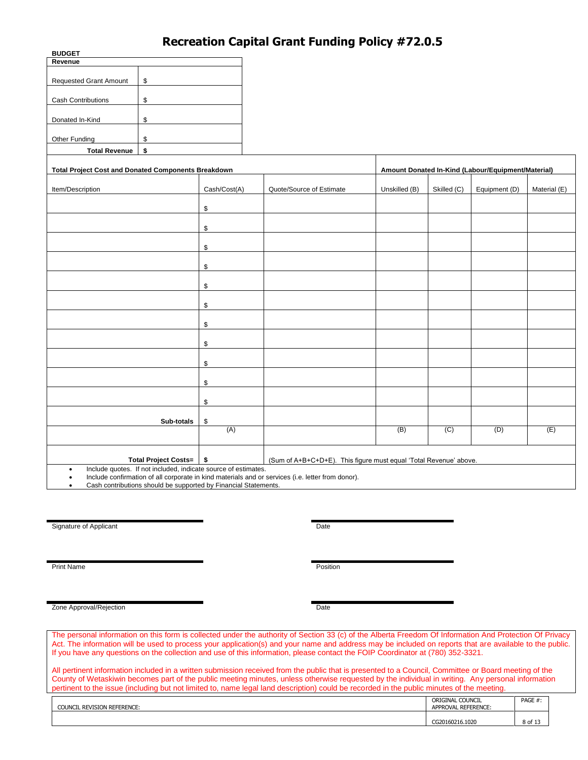| <b>BUDGET</b>                                              |                                                                                         |              |                                                                   |               |             |                                                    |              |
|------------------------------------------------------------|-----------------------------------------------------------------------------------------|--------------|-------------------------------------------------------------------|---------------|-------------|----------------------------------------------------|--------------|
| Revenue                                                    |                                                                                         |              |                                                                   |               |             |                                                    |              |
| Requested Grant Amount                                     | \$                                                                                      |              |                                                                   |               |             |                                                    |              |
| <b>Cash Contributions</b>                                  | \$                                                                                      |              |                                                                   |               |             |                                                    |              |
| Donated In-Kind                                            | \$                                                                                      |              |                                                                   |               |             |                                                    |              |
| Other Funding                                              | \$                                                                                      |              |                                                                   |               |             |                                                    |              |
| <b>Total Revenue</b>                                       | \$                                                                                      |              |                                                                   |               |             |                                                    |              |
| <b>Total Project Cost and Donated Components Breakdown</b> |                                                                                         |              |                                                                   |               |             | Amount Donated In-Kind (Labour/Equipment/Material) |              |
| Item/Description                                           |                                                                                         | Cash/Cost(A) | Quote/Source of Estimate                                          | Unskilled (B) | Skilled (C) | Equipment (D)                                      | Material (E) |
|                                                            |                                                                                         | \$           |                                                                   |               |             |                                                    |              |
|                                                            |                                                                                         | \$           |                                                                   |               |             |                                                    |              |
|                                                            |                                                                                         | \$           |                                                                   |               |             |                                                    |              |
|                                                            |                                                                                         | \$           |                                                                   |               |             |                                                    |              |
|                                                            |                                                                                         | \$           |                                                                   |               |             |                                                    |              |
|                                                            |                                                                                         | \$           |                                                                   |               |             |                                                    |              |
|                                                            |                                                                                         | \$           |                                                                   |               |             |                                                    |              |
|                                                            |                                                                                         | \$           |                                                                   |               |             |                                                    |              |
|                                                            |                                                                                         | \$           |                                                                   |               |             |                                                    |              |
|                                                            |                                                                                         | \$           |                                                                   |               |             |                                                    |              |
|                                                            |                                                                                         | \$           |                                                                   |               |             |                                                    |              |
|                                                            | Sub-totals                                                                              | \$           |                                                                   |               |             |                                                    |              |
|                                                            |                                                                                         | (A)          |                                                                   | (B)           | (C)         | (D)                                                | (E)          |
|                                                            | Total Project Costs= \$<br>Include quotee. If not included indicate seures of estimates |              | (Sum of A+B+C+D+E). This figure must equal 'Total Revenue' above. |               |             |                                                    |              |

Include quotes. If not included, indicate source of estimates.

Include confirmation of all corporate in kind materials and or services (i.e. letter from donor).

Cash contributions should be supported by Financial Statements.

Signature of Applicant Date Date Date

Print Name Position

Zone Approval/Rejection Date

The personal information on this form is collected under the authority of Section 33 (c) of the Alberta Freedom Of Information And Protection Of Privacy Act. The information will be used to process your application(s) and your name and address may be included on reports that are available to the public. If you have any questions on the collection and use of this information, please contact the FOIP Coordinator at (780) 352-3321.

All pertinent information included in a written submission received from the public that is presented to a Council, Committee or Board meeting of the County of Wetaskiwin becomes part of the public meeting minutes, unless otherwise requested by the individual in writing. Any personal information pertinent to the issue (including but not limited to, name legal land description) could be recorded in the public minutes of the meeting.

| <b>L REVISION REFERENCE:</b><br><b>COUNCI</b> | <b>COUNCIL</b><br>ORIGINAL<br>. REFERENCE:<br>APPROVAL | PAGE #  |
|-----------------------------------------------|--------------------------------------------------------|---------|
|                                               | CG20160216.1020                                        | 8 of 13 |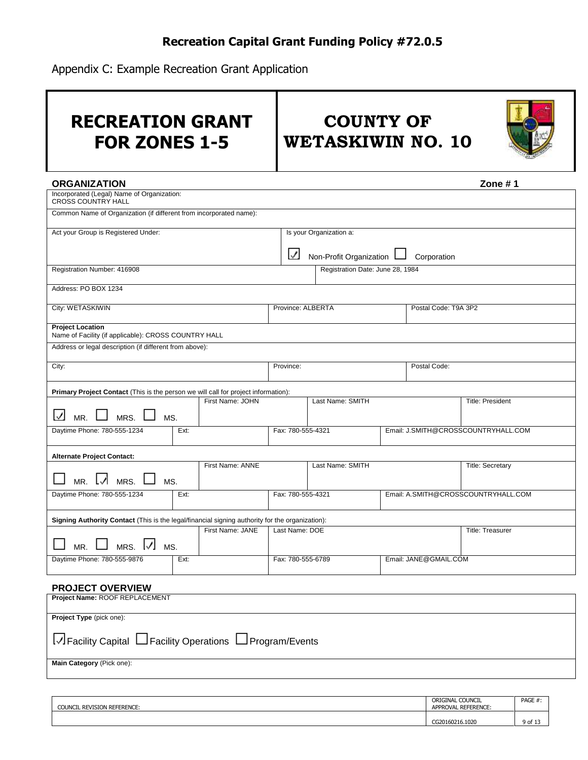Appendix C: Example Recreation Grant Application

| <b>RECREATION GRANT</b><br><b>FOR ZONES 1-5</b>                                                 |                  |                   |                           | <b>COUNTY OF</b><br><b>WETASKIWIN NO. 10</b> |                       |                                     |  |
|-------------------------------------------------------------------------------------------------|------------------|-------------------|---------------------------|----------------------------------------------|-----------------------|-------------------------------------|--|
| <b>ORGANIZATION</b>                                                                             |                  |                   |                           |                                              |                       | Zone #1                             |  |
| Incorporated (Legal) Name of Organization:<br><b>CROSS COUNTRY HALL</b>                         |                  |                   |                           |                                              |                       |                                     |  |
| Common Name of Organization (if different from incorporated name):                              |                  |                   |                           |                                              |                       |                                     |  |
| Act your Group is Registered Under:                                                             |                  |                   | Is your Organization a:   |                                              |                       |                                     |  |
|                                                                                                 |                  | $\checkmark$      | Non-Profit Organization   |                                              | Corporation           |                                     |  |
| Registration Number: 416908                                                                     |                  |                   |                           | Registration Date: June 28, 1984             |                       |                                     |  |
| Address: PO BOX 1234                                                                            |                  |                   |                           |                                              |                       |                                     |  |
| City: WETASKIWIN                                                                                |                  | Province: ALBERTA |                           |                                              | Postal Code: T9A 3P2  |                                     |  |
| <b>Project Location</b><br>Name of Facility (if applicable): CROSS COUNTRY HALL                 |                  |                   |                           |                                              |                       |                                     |  |
| Address or legal description (if different from above):                                         |                  |                   |                           |                                              |                       |                                     |  |
| City:                                                                                           |                  |                   | Postal Code:<br>Province: |                                              |                       |                                     |  |
| <b>Primary Project Contact</b> (This is the person we will call for project information):       |                  |                   |                           |                                              |                       |                                     |  |
| $\checkmark$<br>MRS.<br>MR.<br>MS.                                                              | First Name: JOHN |                   | Last Name: SMITH          |                                              |                       | <b>Title: President</b>             |  |
| Daytime Phone: 780-555-1234                                                                     | Ext:             | Fax: 780-555-4321 |                           |                                              |                       | Email: J.SMITH@CROSSCOUNTRYHALL.COM |  |
| <b>Alternate Project Contact:</b>                                                               |                  |                   |                           |                                              |                       |                                     |  |
| MR. $\mathcal{U}$ MRS.<br>MS.                                                                   | First Name: ANNE |                   | Last Name: SMITH          |                                              |                       | <b>Title: Secretary</b>             |  |
| Daytime Phone: 780-555-1234                                                                     | Ext:             | Fax: 780-555-4321 |                           |                                              |                       | Email: A.SMITH@CROSSCOUNTRYHALL.COM |  |
| Signing Authority Contact (This is the legal/financial signing authority for the organization): |                  |                   |                           |                                              |                       |                                     |  |
| MR. $\Box$ MRS. $\Box$ MS.                                                                      | First Name: JANE | Last Name: DOE    |                           |                                              |                       | <b>Title: Treasurer</b>             |  |
| Daytime Phone: 780-555-9876                                                                     | Ext:             | Fax: 780-555-6789 |                           |                                              | Email: JANE@GMAIL.COM |                                     |  |
| PROJECT OVERVIEW                                                                                |                  |                   |                           |                                              |                       |                                     |  |
| Project Name: ROOF REPLACEMENT                                                                  |                  |                   |                           |                                              |                       |                                     |  |
| Project Type (pick one):                                                                        |                  |                   |                           |                                              |                       |                                     |  |
| $\Box$ Facility Capital $\Box$ Facility Operations $\Box$ Program/Events                        |                  |                   |                           |                                              |                       |                                     |  |
| Main Category (Pick one):                                                                       |                  |                   |                           |                                              |                       |                                     |  |
|                                                                                                 |                  |                   |                           |                                              |                       |                                     |  |
|                                                                                                 |                  |                   |                           |                                              |                       |                                     |  |

| $\sim$<br>. REVISION REFERENCE:<br>''VULL | <b>COUNCIL</b><br>ORIGINAL<br>. REFERENCE:<br>APPROVAL | PAGE $*$ |
|-------------------------------------------|--------------------------------------------------------|----------|
|                                           | CG20160216.1020                                        | 9 of 1   |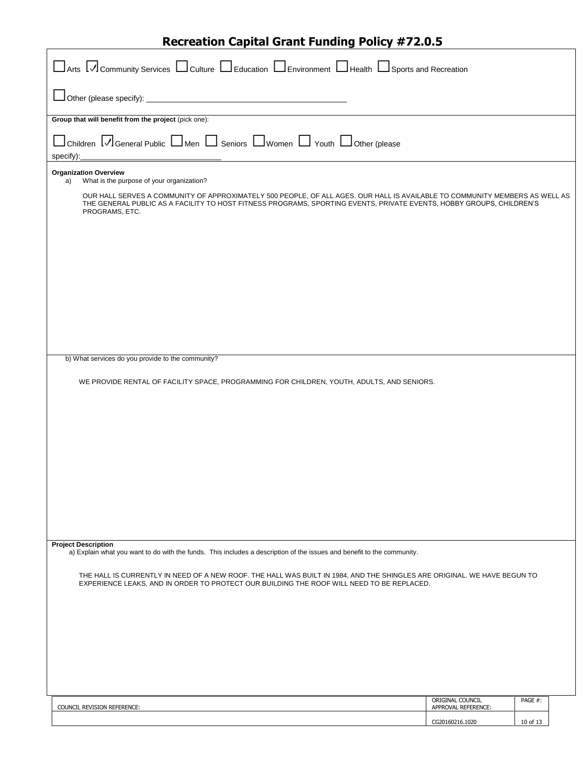| □ Arts ■ Community Services □ Culture □ Education □ Environment □ Health □ Sports and Recreation                                                                                                                                                                      |                                         |          |  |  |  |  |
|-----------------------------------------------------------------------------------------------------------------------------------------------------------------------------------------------------------------------------------------------------------------------|-----------------------------------------|----------|--|--|--|--|
|                                                                                                                                                                                                                                                                       |                                         |          |  |  |  |  |
| Group that will benefit from the project (pick one):                                                                                                                                                                                                                  |                                         |          |  |  |  |  |
| $\Box$ Children $\Box$ General Public $\Box$ Men $\Box$ Seniors $\Box$ Women $\Box$ Youth $\Box$ Other (please<br>specify):                                                                                                                                           |                                         |          |  |  |  |  |
| <b>Organization Overview</b><br>What is the purpose of your organization?<br>a)                                                                                                                                                                                       |                                         |          |  |  |  |  |
| OUR HALL SERVES A COMMUNITY OF APPROXIMATELY 500 PEOPLE, OF ALL AGES. OUR HALL IS AVAILABLE TO COMMUNITY MEMBERS AS WELL AS<br>THE GENERAL PUBLIC AS A FACILITY TO HOST FITNESS PROGRAMS, SPORTING EVENTS, PRIVATE EVENTS, HOBBY GROUPS, CHILDREN'S<br>PROGRAMS, ETC. |                                         |          |  |  |  |  |
|                                                                                                                                                                                                                                                                       |                                         |          |  |  |  |  |
|                                                                                                                                                                                                                                                                       |                                         |          |  |  |  |  |
|                                                                                                                                                                                                                                                                       |                                         |          |  |  |  |  |
|                                                                                                                                                                                                                                                                       |                                         |          |  |  |  |  |
| b) What services do you provide to the community?                                                                                                                                                                                                                     |                                         |          |  |  |  |  |
| WE PROVIDE RENTAL OF FACILITY SPACE, PROGRAMMING FOR CHILDREN, YOUTH, ADULTS, AND SENIORS.                                                                                                                                                                            |                                         |          |  |  |  |  |
|                                                                                                                                                                                                                                                                       |                                         |          |  |  |  |  |
|                                                                                                                                                                                                                                                                       |                                         |          |  |  |  |  |
|                                                                                                                                                                                                                                                                       |                                         |          |  |  |  |  |
|                                                                                                                                                                                                                                                                       |                                         |          |  |  |  |  |
|                                                                                                                                                                                                                                                                       |                                         |          |  |  |  |  |
|                                                                                                                                                                                                                                                                       |                                         |          |  |  |  |  |
|                                                                                                                                                                                                                                                                       |                                         |          |  |  |  |  |
|                                                                                                                                                                                                                                                                       |                                         |          |  |  |  |  |
| <b>Project Description</b><br>a) Explain what you want to do with the funds. This includes a description of the issues and benefit to the community.                                                                                                                  |                                         |          |  |  |  |  |
| THE HALL IS CURRENTLY IN NEED OF A NEW ROOF. THE HALL WAS BUILT IN 1984, AND THE SHINGLES ARE ORIGINAL. WE HAVE BEGUN TO                                                                                                                                              |                                         |          |  |  |  |  |
| EXPERIENCE LEAKS, AND IN ORDER TO PROTECT OUR BUILDING THE ROOF WILL NEED TO BE REPLACED.                                                                                                                                                                             |                                         |          |  |  |  |  |
|                                                                                                                                                                                                                                                                       |                                         |          |  |  |  |  |
|                                                                                                                                                                                                                                                                       |                                         |          |  |  |  |  |
|                                                                                                                                                                                                                                                                       |                                         |          |  |  |  |  |
|                                                                                                                                                                                                                                                                       |                                         |          |  |  |  |  |
|                                                                                                                                                                                                                                                                       |                                         |          |  |  |  |  |
| COUNCIL REVISION REFERENCE:                                                                                                                                                                                                                                           | ORIGINAL COUNCIL<br>APPROVAL REFERENCE: | PAGE #:  |  |  |  |  |
|                                                                                                                                                                                                                                                                       | CG20160216.1020                         | 10 of 13 |  |  |  |  |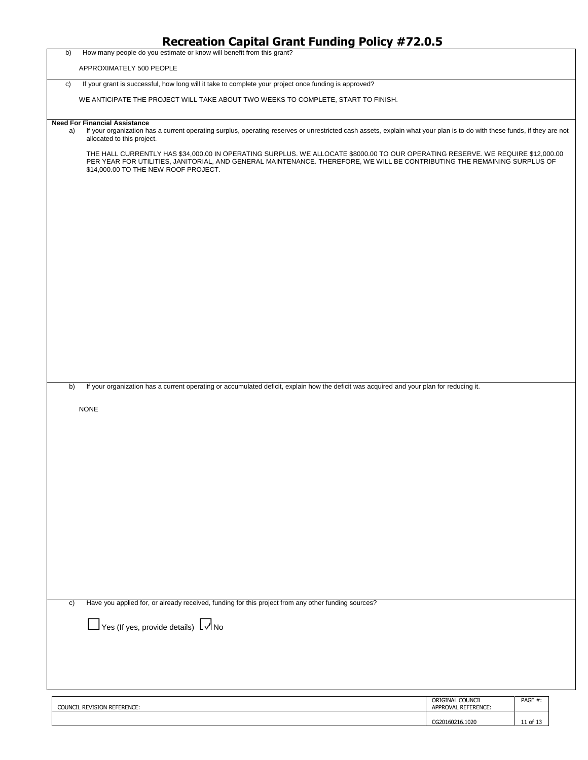| How many people do you estimate or know will benefit from this grant?<br>b)                                                                                                                                                                                                                         |                                         |          |  |
|-----------------------------------------------------------------------------------------------------------------------------------------------------------------------------------------------------------------------------------------------------------------------------------------------------|-----------------------------------------|----------|--|
| APPROXIMATELY 500 PEOPLE                                                                                                                                                                                                                                                                            |                                         |          |  |
| If your grant is successful, how long will it take to complete your project once funding is approved?<br>c)                                                                                                                                                                                         |                                         |          |  |
| WE ANTICIPATE THE PROJECT WILL TAKE ABOUT TWO WEEKS TO COMPLETE, START TO FINISH.                                                                                                                                                                                                                   |                                         |          |  |
|                                                                                                                                                                                                                                                                                                     |                                         |          |  |
| <b>Need For Financial Assistance</b><br>If your organization has a current operating surplus, operating reserves or unrestricted cash assets, explain what your plan is to do with these funds, if they are not<br>a)<br>allocated to this project.                                                 |                                         |          |  |
| THE HALL CURRENTLY HAS \$34,000.00 IN OPERATING SURPLUS. WE ALLOCATE \$8000.00 TO OUR OPERATING RESERVE. WE REQUIRE \$12,000.00<br>PER YEAR FOR UTILITIES, JANITORIAL, AND GENERAL MAINTENANCE. THEREFORE, WE WILL BE CONTRIBUTING THE REMAINING SURPLUS OF<br>\$14,000.00 TO THE NEW ROOF PROJECT. |                                         |          |  |
|                                                                                                                                                                                                                                                                                                     |                                         |          |  |
|                                                                                                                                                                                                                                                                                                     |                                         |          |  |
|                                                                                                                                                                                                                                                                                                     |                                         |          |  |
|                                                                                                                                                                                                                                                                                                     |                                         |          |  |
|                                                                                                                                                                                                                                                                                                     |                                         |          |  |
|                                                                                                                                                                                                                                                                                                     |                                         |          |  |
|                                                                                                                                                                                                                                                                                                     |                                         |          |  |
|                                                                                                                                                                                                                                                                                                     |                                         |          |  |
|                                                                                                                                                                                                                                                                                                     |                                         |          |  |
| b)<br>If your organization has a current operating or accumulated deficit, explain how the deficit was acquired and your plan for reducing it.                                                                                                                                                      |                                         |          |  |
| <b>NONE</b>                                                                                                                                                                                                                                                                                         |                                         |          |  |
|                                                                                                                                                                                                                                                                                                     |                                         |          |  |
|                                                                                                                                                                                                                                                                                                     |                                         |          |  |
|                                                                                                                                                                                                                                                                                                     |                                         |          |  |
|                                                                                                                                                                                                                                                                                                     |                                         |          |  |
|                                                                                                                                                                                                                                                                                                     |                                         |          |  |
|                                                                                                                                                                                                                                                                                                     |                                         |          |  |
|                                                                                                                                                                                                                                                                                                     |                                         |          |  |
|                                                                                                                                                                                                                                                                                                     |                                         |          |  |
|                                                                                                                                                                                                                                                                                                     |                                         |          |  |
|                                                                                                                                                                                                                                                                                                     |                                         |          |  |
| Have you applied for, or already received, funding for this project from any other funding sources?<br>c)                                                                                                                                                                                           |                                         |          |  |
| Yes (If yes, provide details) No                                                                                                                                                                                                                                                                    |                                         |          |  |
|                                                                                                                                                                                                                                                                                                     |                                         |          |  |
|                                                                                                                                                                                                                                                                                                     |                                         |          |  |
|                                                                                                                                                                                                                                                                                                     |                                         |          |  |
| COUNCIL REVISION REFERENCE:                                                                                                                                                                                                                                                                         | ORIGINAL COUNCIL<br>APPROVAL REFERENCE: | PAGE #:  |  |
|                                                                                                                                                                                                                                                                                                     | CG20160216.1020                         | 11 of 13 |  |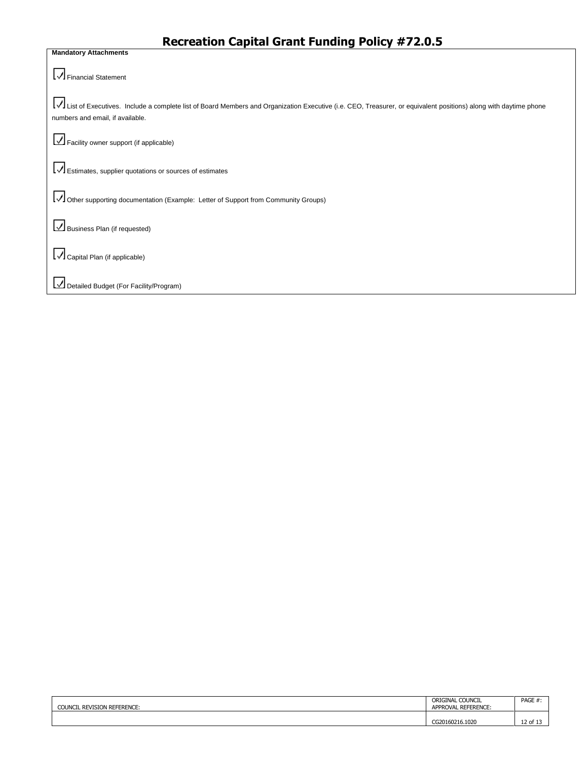**Mandatory Attachments** □Financial Statement

List of Executives. Include a complete list of Board Members and Organization Executive (i.e. CEO, Treasurer, or equivalent positions) along with daytime phone numbers and email, if available.

□Facility owner support (if applicable)

□Estimates, supplier quotations or sources of estimates

□Other supporting documentation (Example: Letter of Support from Community Groups)

□Business Plan (if requested)

□Capital Plan (if applicable)

□Detailed Budget (For Facility/Program)

| . REVISION REFERENCE:<br><b>COUNCI</b> | COUNCIL<br>ORIGINAL<br>. REFERENCE:<br><b>APPROVAL</b> | PAGE # |
|----------------------------------------|--------------------------------------------------------|--------|
|                                        | 216.1020                                               | . ot   |